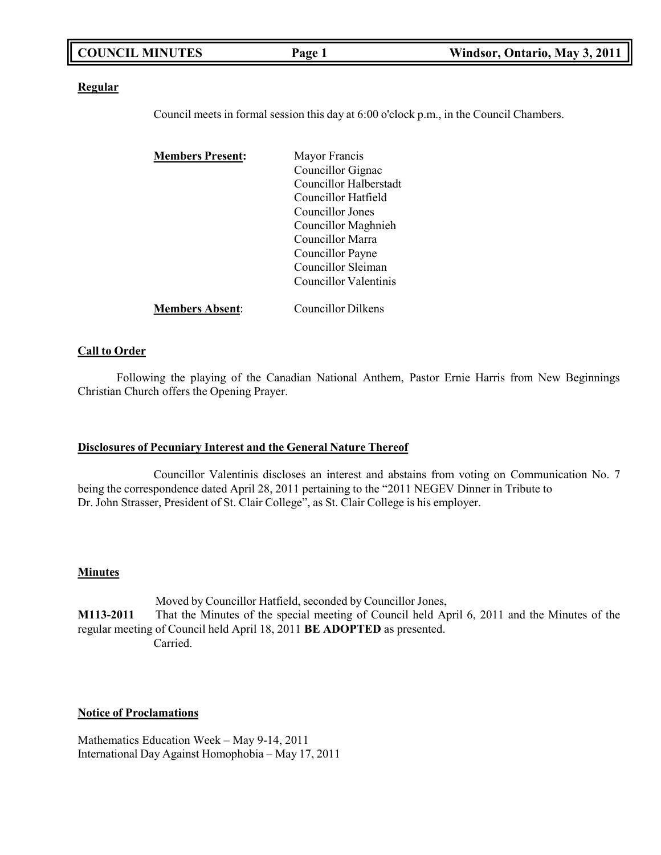| <b>COUNCIL MINUTES</b> | $P_{\text{age}}$ | Windsor, Ontario, May 3, 2011 |
|------------------------|------------------|-------------------------------|
|                        |                  |                               |

### **Regular**

Council meets in formal session this day at 6:00 o'clock p.m., in the Council Chambers.

| <b>Members Present:</b> | Mayor Francis          |
|-------------------------|------------------------|
|                         | Councillor Gignac      |
|                         | Councillor Halberstadt |
|                         | Councillor Hatfield    |
|                         | Councillor Jones       |
|                         | Councillor Maghnieh    |
|                         | Councillor Marra       |
|                         | Councillor Payne       |
|                         | Councillor Sleiman     |
|                         | Councillor Valentinis  |
| <b>Members Absent:</b>  | Councillor Dilkens     |

### **Call to Order**

Following the playing of the Canadian National Anthem, Pastor Ernie Harris from New Beginnings Christian Church offers the Opening Prayer.

### **Disclosures of Pecuniary Interest and the General Nature Thereof**

Councillor Valentinis discloses an interest and abstains from voting on Communication No. 7 being the correspondence dated April 28, 2011 pertaining to the "2011 NEGEV Dinner in Tribute to Dr. John Strasser, President of St. Clair College", as St. Clair College is his employer.

### **Minutes**

Moved by Councillor Hatfield, seconded by Councillor Jones, **M113-2011** That the Minutes of the special meeting of Council held April 6, 2011 and the Minutes of the regular meeting of Council held April 18, 2011 **BE ADOPTED** as presented. Carried.

### **Notice of Proclamations**

Mathematics Education Week – May 9-14, 2011 International Day Against Homophobia – May 17, 2011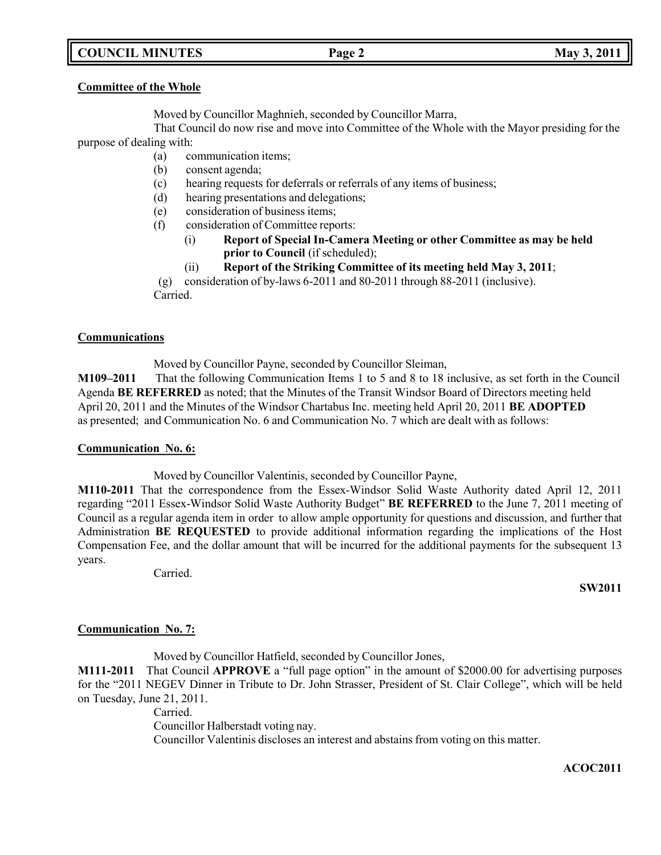## **COUNCIL MINUTES Page 2 May 3, 2011**

## **Committee of the Whole**

Moved by Councillor Maghnieh, seconded by Councillor Marra,

That Council do now rise and move into Committee of the Whole with the Mayor presiding for the purpose of dealing with:

- (a) communication items;
- (b) consent agenda;
- (c) hearing requests for deferrals or referrals of any items of business;
- (d) hearing presentations and delegations;
- (e) consideration of business items;
- (f) consideration of Committee reports:
	- (i) **Report of Special In-Camera Meeting or other Committee as may be held prior to Council** (if scheduled);
	- (ii) **Report of the Striking Committee of its meeting held May 3, 2011**;

(g) consideration of by-laws 6-2011 and 80-2011 through 88-2011 (inclusive). Carried.

## **Communications**

Moved by Councillor Payne, seconded by Councillor Sleiman,

**M109–2011** That the following Communication Items 1 to 5 and 8 to 18 inclusive, as set forth in the Council Agenda **BE REFERRED** as noted; that the Minutes of the Transit Windsor Board of Directors meeting held April 20, 2011 and the Minutes of the Windsor Chartabus Inc. meeting held April 20, 2011 **BE ADOPTED** as presented; and Communication No. 6 and Communication No. 7 which are dealt with as follows:

## **Communication No. 6:**

Moved by Councillor Valentinis, seconded by Councillor Payne,

**M110-2011** That the correspondence from the Essex-Windsor Solid Waste Authority dated April 12, 2011 regarding "2011 Essex-Windsor Solid Waste Authority Budget" **BE REFERRED** to the June 7, 2011 meeting of Council as a regular agenda item in order to allow ample opportunity for questions and discussion, and further that Administration **BE REQUESTED** to provide additional information regarding the implications of the Host Compensation Fee, and the dollar amount that will be incurred for the additional payments for the subsequent 13 years.

Carried.

**SW2011**

## **Communication No. 7:**

Moved by Councillor Hatfield, seconded by Councillor Jones, **M111-2011** That Council **APPROVE** a "full page option" in the amount of \$2000.00 for advertising purposes for the "2011 NEGEV Dinner in Tribute to Dr. John Strasser, President of St. Clair College", which will be held on Tuesday, June 21, 2011.

Carried. Councillor Halberstadt voting nay. Councillor Valentinis discloses an interest and abstains from voting on this matter.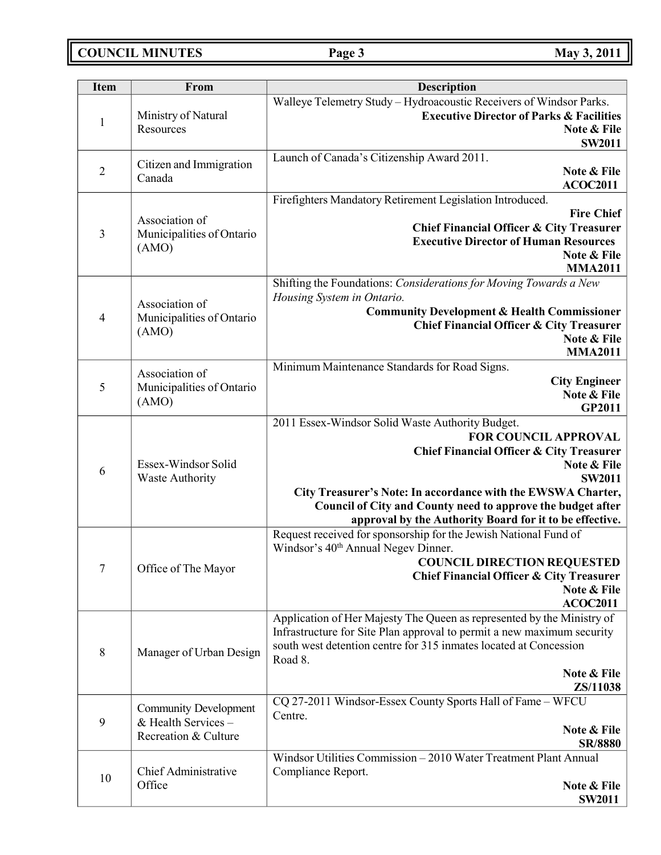**COUNCIL MINUTES Page 3 May 3, 2011**

| <b>Item</b>    | From                         | <b>Description</b>                                                                                                          |
|----------------|------------------------------|-----------------------------------------------------------------------------------------------------------------------------|
|                |                              | Walleye Telemetry Study - Hydroacoustic Receivers of Windsor Parks.                                                         |
| $\mathbf{1}$   | Ministry of Natural          | <b>Executive Director of Parks &amp; Facilities</b>                                                                         |
|                | Resources                    | Note & File                                                                                                                 |
|                |                              | <b>SW2011</b>                                                                                                               |
|                | Citizen and Immigration      | Launch of Canada's Citizenship Award 2011.                                                                                  |
| $\overline{2}$ | Canada                       | Note & File                                                                                                                 |
|                |                              | <b>ACOC2011</b>                                                                                                             |
|                |                              | Firefighters Mandatory Retirement Legislation Introduced.                                                                   |
|                | Association of               | <b>Fire Chief</b>                                                                                                           |
| 3              | Municipalities of Ontario    | <b>Chief Financial Officer &amp; City Treasurer</b>                                                                         |
|                | (AMO)                        | <b>Executive Director of Human Resources</b><br>Note & File                                                                 |
|                |                              | <b>MMA2011</b>                                                                                                              |
|                |                              | Shifting the Foundations: Considerations for Moving Towards a New                                                           |
|                |                              | Housing System in Ontario.                                                                                                  |
|                | Association of               | <b>Community Development &amp; Health Commissioner</b>                                                                      |
| $\overline{4}$ | Municipalities of Ontario    | <b>Chief Financial Officer &amp; City Treasurer</b>                                                                         |
|                | (AMO)                        | Note & File                                                                                                                 |
|                |                              | <b>MMA2011</b>                                                                                                              |
|                | Association of               | Minimum Maintenance Standards for Road Signs.                                                                               |
| 5              | Municipalities of Ontario    | <b>City Engineer</b>                                                                                                        |
|                | (AMO)                        | Note & File                                                                                                                 |
|                |                              | GP2011                                                                                                                      |
|                |                              | 2011 Essex-Windsor Solid Waste Authority Budget.                                                                            |
|                |                              | <b>FOR COUNCIL APPROVAL</b>                                                                                                 |
|                |                              | <b>Chief Financial Officer &amp; City Treasurer</b>                                                                         |
| 6              | Essex-Windsor Solid          | Note & File                                                                                                                 |
|                | <b>Waste Authority</b>       | <b>SW2011</b>                                                                                                               |
|                |                              | City Treasurer's Note: In accordance with the EWSWA Charter,<br>Council of City and County need to approve the budget after |
|                |                              | approval by the Authority Board for it to be effective.                                                                     |
|                |                              | Request received for sponsorship for the Jewish National Fund of                                                            |
|                |                              | Windsor's 40 <sup>th</sup> Annual Negev Dinner.                                                                             |
|                |                              | <b>COUNCIL DIRECTION REQUESTED</b>                                                                                          |
| 7              | Office of The Mayor          | <b>Chief Financial Officer &amp; City Treasurer</b>                                                                         |
|                |                              | Note & File                                                                                                                 |
|                |                              | <b>ACOC2011</b>                                                                                                             |
|                |                              | Application of Her Majesty The Queen as represented by the Ministry of                                                      |
|                |                              | Infrastructure for Site Plan approval to permit a new maximum security                                                      |
| $\,8\,$        | Manager of Urban Design      | south west detention centre for 315 inmates located at Concession                                                           |
|                |                              | Road 8.                                                                                                                     |
|                |                              | Note & File                                                                                                                 |
|                |                              | ZS/11038                                                                                                                    |
|                | <b>Community Development</b> | CQ 27-2011 Windsor-Essex County Sports Hall of Fame - WFCU<br>Centre.                                                       |
| 9              | & Health Services -          | Note & File                                                                                                                 |
|                | Recreation & Culture         | <b>SR/8880</b>                                                                                                              |
|                |                              | Windsor Utilities Commission - 2010 Water Treatment Plant Annual                                                            |
|                | Chief Administrative         | Compliance Report.                                                                                                          |
| 10             | Office                       | Note & File                                                                                                                 |
|                |                              | <b>SW2011</b>                                                                                                               |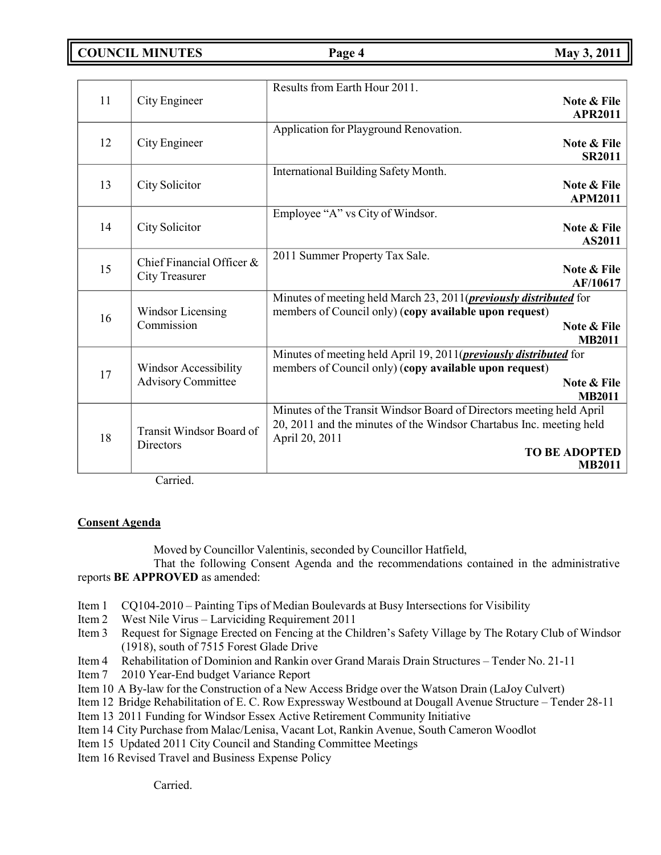**COUNCIL MINUTES Page 4 May 3, 2011**

| 11 | City Engineer                | Results from Earth Hour 2011.<br>Note & File                                                                                        |
|----|------------------------------|-------------------------------------------------------------------------------------------------------------------------------------|
|    |                              | <b>APR2011</b>                                                                                                                      |
|    |                              | Application for Playground Renovation.                                                                                              |
| 12 | City Engineer                | Note & File                                                                                                                         |
|    |                              | <b>SR2011</b>                                                                                                                       |
|    |                              | International Building Safety Month.                                                                                                |
| 13 | City Solicitor               | Note & File<br><b>APM2011</b>                                                                                                       |
|    |                              | Employee "A" vs City of Windsor.                                                                                                    |
| 14 | City Solicitor               | Note & File                                                                                                                         |
|    |                              | <b>AS2011</b>                                                                                                                       |
|    | Chief Financial Officer &    | 2011 Summer Property Tax Sale.                                                                                                      |
| 15 | <b>City Treasurer</b>        | Note & File                                                                                                                         |
|    |                              | AF/10617                                                                                                                            |
|    | Windsor Licensing            | Minutes of meeting held March 23, 2011( <i>previously distributed</i> for                                                           |
| 16 |                              | members of Council only) (copy available upon request)                                                                              |
|    | Commission                   | Note & File                                                                                                                         |
|    |                              | <b>MB2011</b>                                                                                                                       |
|    | <b>Windsor Accessibility</b> | Minutes of meeting held April 19, 2011( <i>previously distributed</i> for<br>members of Council only) (copy available upon request) |
| 17 | <b>Advisory Committee</b>    | Note & File                                                                                                                         |
|    |                              | <b>MB2011</b>                                                                                                                       |
|    |                              | Minutes of the Transit Windsor Board of Directors meeting held April                                                                |
| 18 | Transit Windsor Board of     | 20, 2011 and the minutes of the Windsor Chartabus Inc. meeting held<br>April 20, 2011                                               |
|    | Directors                    | <b>TO BE ADOPTED</b>                                                                                                                |
|    |                              | <b>MB2011</b>                                                                                                                       |

Carried.

## **Consent Agenda**

Moved by Councillor Valentinis, seconded by Councillor Hatfield,

That the following Consent Agenda and the recommendations contained in the administrative reports **BE APPROVED** as amended:

- Item 1 CQ104-2010 Painting Tips of Median Boulevards at Busy Intersections for Visibility
- Item 2 West Nile Virus Larviciding Requirement 2011
- Item 3 Request for Signage Erected on Fencing at the Children's Safety Village by The Rotary Club of Windsor (1918), south of 7515 Forest Glade Drive
- Item 4 Rehabilitation of Dominion and Rankin over Grand Marais Drain Structures Tender No. 21-11
- Item 7 2010 Year-End budget Variance Report
- Item 10 A By-law for the Construction of a New Access Bridge over the Watson Drain (LaJoy Culvert)
- Item 12 Bridge Rehabilitation of E. C. Row Expressway Westbound at Dougall Avenue Structure Tender 28-11
- Item 13 2011 Funding for Windsor Essex Active Retirement Community Initiative
- Item 14 City Purchase from Malac/Lenisa, Vacant Lot, Rankin Avenue, South Cameron Woodlot
- Item 15 Updated 2011 City Council and Standing Committee Meetings
- Item 16 Revised Travel and Business Expense Policy

Carried.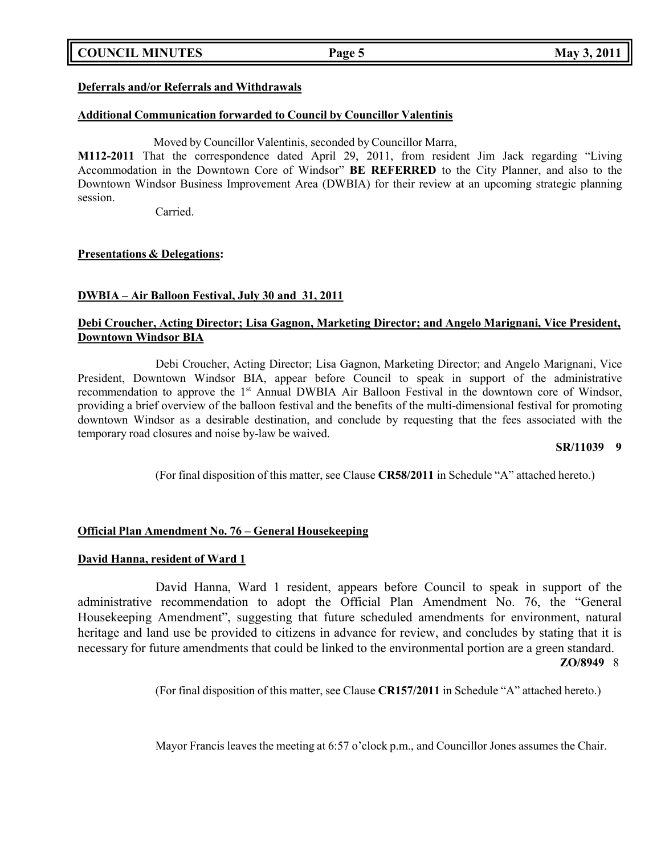## **COUNCIL MINUTES Page 5 May 3, 2011**

## **Deferrals and/or Referrals and Withdrawals**

## **Additional Communication forwarded to Council by Councillor Valentinis**

Moved by Councillor Valentinis, seconded by Councillor Marra,

**M112-2011** That the correspondence dated April 29, 2011, from resident Jim Jack regarding "Living Accommodation in the Downtown Core of Windsor" **BE REFERRED** to the City Planner, and also to the Downtown Windsor Business Improvement Area (DWBIA) for their review at an upcoming strategic planning session.

Carried.

## **Presentations & Delegations:**

## **DWBIA – Air Balloon Festival, July 30 and 31, 2011**

## **Debi Croucher, Acting Director; Lisa Gagnon, Marketing Director; and Angelo Marignani, Vice President, Downtown Windsor BIA**

Debi Croucher, Acting Director; Lisa Gagnon, Marketing Director; and Angelo Marignani, Vice President, Downtown Windsor BIA, appear before Council to speak in support of the administrative recommendation to approve the 1<sup>st</sup> Annual DWBIA Air Balloon Festival in the downtown core of Windsor, providing a brief overview of the balloon festival and the benefits of the multi-dimensional festival for promoting downtown Windsor as a desirable destination, and conclude by requesting that the fees associated with the temporary road closures and noise by-law be waived.

### **SR/11039 9**

(For final disposition of this matter, see Clause **CR58/2011** in Schedule "A" attached hereto.)

## **Official Plan Amendment No. 76 – General Housekeeping**

### **David Hanna, resident of Ward 1**

David Hanna, Ward 1 resident, appears before Council to speak in support of the administrative recommendation to adopt the Official Plan Amendment No. 76, the "General Housekeeping Amendment", suggesting that future scheduled amendments for environment, natural heritage and land use be provided to citizens in advance for review, and concludes by stating that it is necessary for future amendments that could be linked to the environmental portion are a green standard. **ZO/8949** 8

(For final disposition of this matter, see Clause **CR157/2011** in Schedule "A" attached hereto.)

Mayor Francis leaves the meeting at 6:57 o'clock p.m., and Councillor Jones assumes the Chair.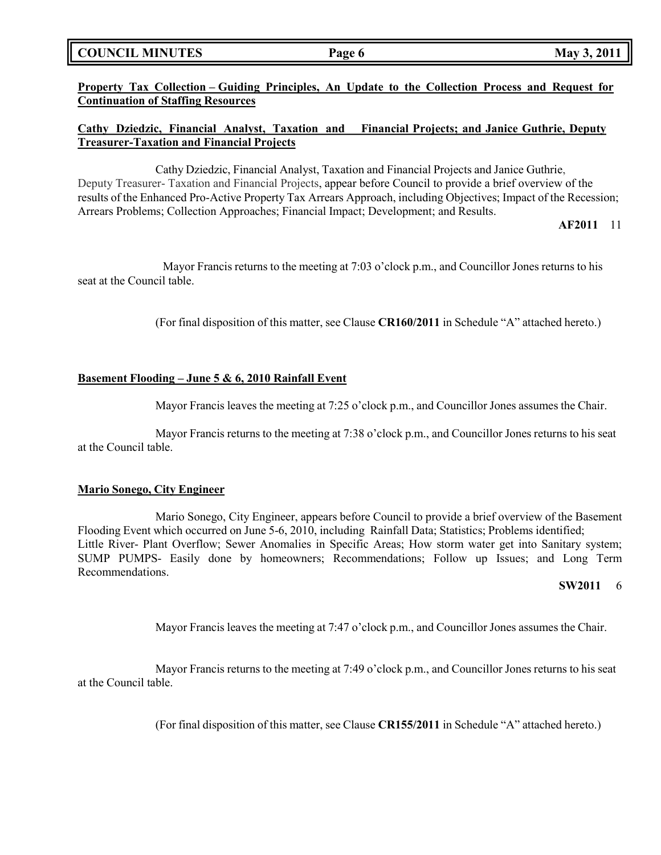| <b>COUNCIL MINUTES</b> |  |  |
|------------------------|--|--|
|------------------------|--|--|

**Property Tax Collection – Guiding Principles, An Update to the Collection Process and Request for Continuation of Staffing Resources**

## **Cathy Dziedzic, Financial Analyst, Taxation and Financial Projects; and Janice Guthrie, Deputy Treasurer-Taxation and Financial Projects**

Cathy Dziedzic, Financial Analyst, Taxation and Financial Projects and Janice Guthrie, Deputy Treasurer- Taxation and Financial Projects, appear before Council to provide a brief overview of the results of the Enhanced Pro-Active Property Tax Arrears Approach, including Objectives; Impact of the Recession; Arrears Problems; Collection Approaches; Financial Impact; Development; and Results.

**AF2011** 11

Mayor Francis returns to the meeting at 7:03 o'clock p.m., and Councillor Jones returns to his seat at the Council table.

(For final disposition of this matter, see Clause **CR160/2011** in Schedule "A" attached hereto.)

## **Basement Flooding – June 5 & 6, 2010 Rainfall Event**

Mayor Francis leaves the meeting at 7:25 o'clock p.m., and Councillor Jones assumes the Chair.

Mayor Francis returns to the meeting at 7:38 o'clock p.m., and Councillor Jones returns to his seat at the Council table.

### **Mario Sonego, City Engineer**

Mario Sonego, City Engineer, appears before Council to provide a brief overview of the Basement Flooding Event which occurred on June 5-6, 2010, including Rainfall Data; Statistics; Problems identified; Little River- Plant Overflow; Sewer Anomalies in Specific Areas; How storm water get into Sanitary system; SUMP PUMPS- Easily done by homeowners; Recommendations; Follow up Issues; and Long Term Recommendations.

### **SW2011** 6

Mayor Francis leaves the meeting at 7:47 o'clock p.m., and Councillor Jones assumes the Chair.

Mayor Francis returns to the meeting at 7:49 o'clock p.m., and Councillor Jones returns to his seat at the Council table.

(For final disposition of this matter, see Clause **CR155/2011** in Schedule "A" attached hereto.)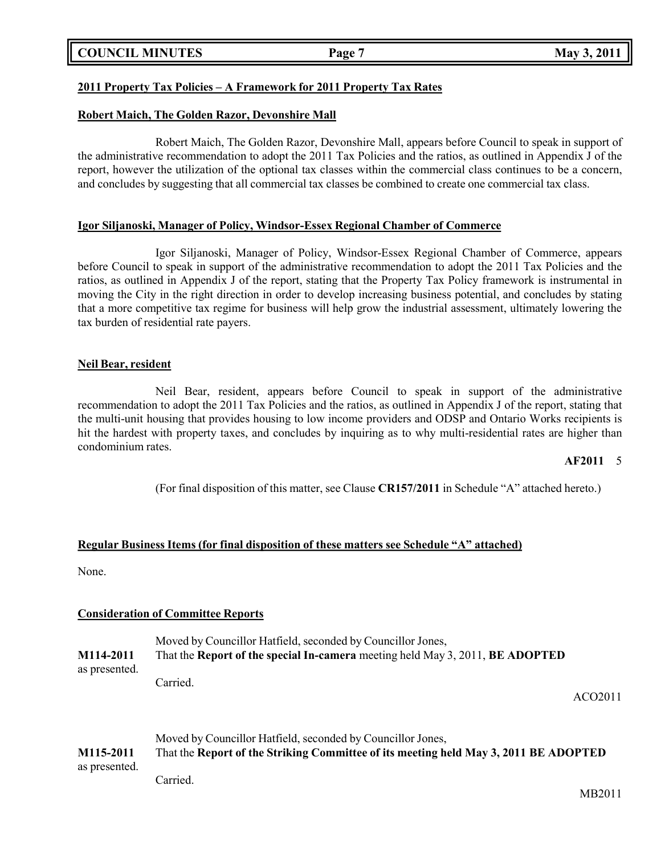## **COUNCIL MINUTES Page 7 May 3, 2011**

## **2011 Property Tax Policies – A Framework for 2011 Property Tax Rates**

## **Robert Maich, The Golden Razor, Devonshire Mall**

Robert Maich, The Golden Razor, Devonshire Mall, appears before Council to speak in support of the administrative recommendation to adopt the 2011 Tax Policies and the ratios, as outlined in Appendix J of the report, however the utilization of the optional tax classes within the commercial class continues to be a concern, and concludes by suggesting that all commercial tax classes be combined to create one commercial tax class.

## **Igor Siljanoski, Manager of Policy, Windsor-Essex Regional Chamber of Commerce**

Igor Siljanoski, Manager of Policy, Windsor-Essex Regional Chamber of Commerce, appears before Council to speak in support of the administrative recommendation to adopt the 2011 Tax Policies and the ratios, as outlined in Appendix J of the report, stating that the Property Tax Policy framework is instrumental in moving the City in the right direction in order to develop increasing business potential, and concludes by stating that a more competitive tax regime for business will help grow the industrial assessment, ultimately lowering the tax burden of residential rate payers.

## **Neil Bear, resident**

Neil Bear, resident, appears before Council to speak in support of the administrative recommendation to adopt the 2011 Tax Policies and the ratios, as outlined in Appendix J of the report, stating that the multi-unit housing that provides housing to low income providers and ODSP and Ontario Works recipients is hit the hardest with property taxes, and concludes by inquiring as to why multi-residential rates are higher than condominium rates.

### **AF2011** 5

(For final disposition of this matter, see Clause **CR157/2011** in Schedule "A" attached hereto.)

## **Regular Business Items (for final disposition of these matters see Schedule "A" attached)**

None.

## **Consideration of Committee Reports**

|                                                                                            | Moved by Councillor Hatfield, seconded by Councillor Jones, |
|--------------------------------------------------------------------------------------------|-------------------------------------------------------------|
| That the Report of the special In-camera meeting held May 3, 2011, BE ADOPTED<br>M114-2011 |                                                             |
| as presented.                                                                              |                                                             |
|                                                                                            | Carried.                                                    |

ACO2011

|               | Moved by Councillor Hatfield, seconded by Councillor Jones,                          |
|---------------|--------------------------------------------------------------------------------------|
| M115-2011     | That the Report of the Striking Committee of its meeting held May 3, 2011 BE ADOPTED |
| as presented. |                                                                                      |
|               | Carried.                                                                             |

MB2011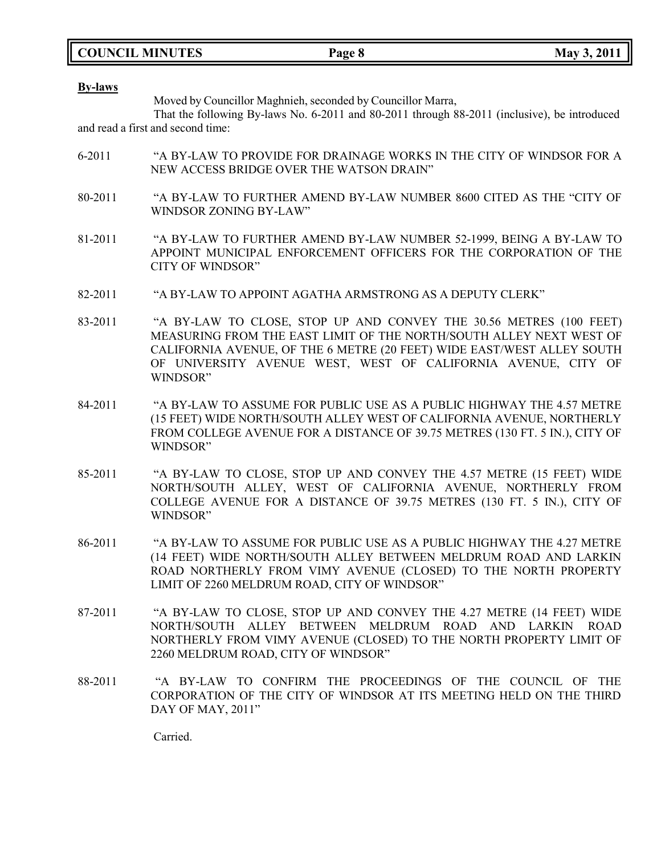|  | <b>COUNCIL MINUTES</b> |
|--|------------------------|
|--|------------------------|

#### **By-laws**

Moved by Councillor Maghnieh, seconded by Councillor Marra,

That the following By-laws No. 6-2011 and 80-2011 through 88-2011 (inclusive), be introduced and read a first and second time:

- 6-2011 "A BY-LAW TO PROVIDE FOR DRAINAGE WORKS IN THE CITY OF WINDSOR FOR A NEW ACCESS BRIDGE OVER THE WATSON DRAIN"
- 80-2011 "A BY-LAW TO FURTHER AMEND BY-LAW NUMBER 8600 CITED AS THE "CITY OF WINDSOR ZONING BY-LAW"
- 81-2011 "A BY-LAW TO FURTHER AMEND BY-LAW NUMBER 52-1999, BEING A BY-LAW TO APPOINT MUNICIPAL ENFORCEMENT OFFICERS FOR THE CORPORATION OF THE CITY OF WINDSOR"
- 82-2011 "A BY-LAW TO APPOINT AGATHA ARMSTRONG AS A DEPUTY CLERK"
- 83-2011 "A BY-LAW TO CLOSE, STOP UP AND CONVEY THE 30.56 METRES (100 FEET) MEASURING FROM THE EAST LIMIT OF THE NORTH/SOUTH ALLEY NEXT WEST OF CALIFORNIA AVENUE, OF THE 6 METRE (20 FEET) WIDE EAST/WEST ALLEY SOUTH OF UNIVERSITY AVENUE WEST, WEST OF CALIFORNIA AVENUE, CITY OF WINDSOR"
- 84-2011 "A BY-LAW TO ASSUME FOR PUBLIC USE AS A PUBLIC HIGHWAY THE 4.57 METRE (15 FEET) WIDE NORTH/SOUTH ALLEY WEST OF CALIFORNIA AVENUE, NORTHERLY FROM COLLEGE AVENUE FOR A DISTANCE OF 39.75 METRES (130 FT. 5 IN.), CITY OF WINDSOR"
- 85-2011 "A BY-LAW TO CLOSE, STOP UP AND CONVEY THE 4.57 METRE (15 FEET) WIDE NORTH/SOUTH ALLEY, WEST OF CALIFORNIA AVENUE, NORTHERLY FROM COLLEGE AVENUE FOR A DISTANCE OF 39.75 METRES (130 FT. 5 IN.), CITY OF WINDSOR"
- 86-2011 "A BY-LAW TO ASSUME FOR PUBLIC USE AS A PUBLIC HIGHWAY THE 4.27 METRE (14 FEET) WIDE NORTH/SOUTH ALLEY BETWEEN MELDRUM ROAD AND LARKIN ROAD NORTHERLY FROM VIMY AVENUE (CLOSED) TO THE NORTH PROPERTY LIMIT OF 2260 MELDRUM ROAD, CITY OF WINDSOR"
- 87-2011 "A BY-LAW TO CLOSE, STOP UP AND CONVEY THE 4.27 METRE (14 FEET) WIDE NORTH/SOUTH ALLEY BETWEEN MELDRUM ROAD AND LARKIN ROAD NORTHERLY FROM VIMY AVENUE (CLOSED) TO THE NORTH PROPERTY LIMIT OF 2260 MELDRUM ROAD, CITY OF WINDSOR"
- 88-2011 "A BY-LAW TO CONFIRM THE PROCEEDINGS OF THE COUNCIL OF THE CORPORATION OF THE CITY OF WINDSOR AT ITS MEETING HELD ON THE THIRD DAY OF MAY, 2011"

Carried.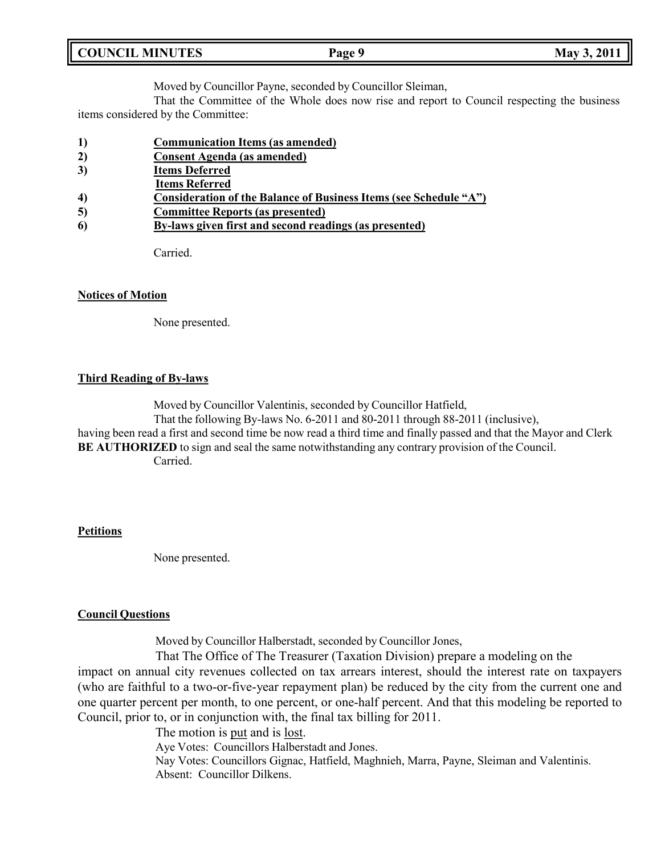| <b>COUNCIL MINUTES</b><br>Page 9 | May 3, 2011 |
|----------------------------------|-------------|
|----------------------------------|-------------|

Moved by Councillor Payne, seconded by Councillor Sleiman,

That the Committee of the Whole does now rise and report to Council respecting the business items considered by the Committee:

- **1) Communication Items (as amended)**
- **2) Consent Agenda (as amended)**
- **3) Items Deferred**
- **Items Referred**
- **4) Consideration of the Balance of Business Items (see Schedule "A")**
- **5) Committee Reports (as presented)**
- **6) By-laws given first and second readings (as presented)**

Carried.

## **Notices of Motion**

None presented.

## **Third Reading of By-laws**

Moved by Councillor Valentinis, seconded by Councillor Hatfield,

That the following By-laws No. 6-2011 and 80-2011 through 88-2011 (inclusive), having been read a first and second time be now read a third time and finally passed and that the Mayor and Clerk

**BE AUTHORIZED** to sign and seal the same notwithstanding any contrary provision of the Council.

Carried.

## **Petitions**

None presented.

## **Council Questions**

Moved by Councillor Halberstadt, seconded by Councillor Jones,

That The Office of The Treasurer (Taxation Division) prepare a modeling on the impact on annual city revenues collected on tax arrears interest, should the interest rate on taxpayers (who are faithful to a two-or-five-year repayment plan) be reduced by the city from the current one and one quarter percent per month, to one percent, or one-half percent. And that this modeling be reported to Council, prior to, or in conjunction with, the final tax billing for 2011.

> The motion is put and is lost. Aye Votes: Councillors Halberstadt and Jones. Nay Votes: Councillors Gignac, Hatfield, Maghnieh, Marra, Payne, Sleiman and Valentinis. Absent: Councillor Dilkens.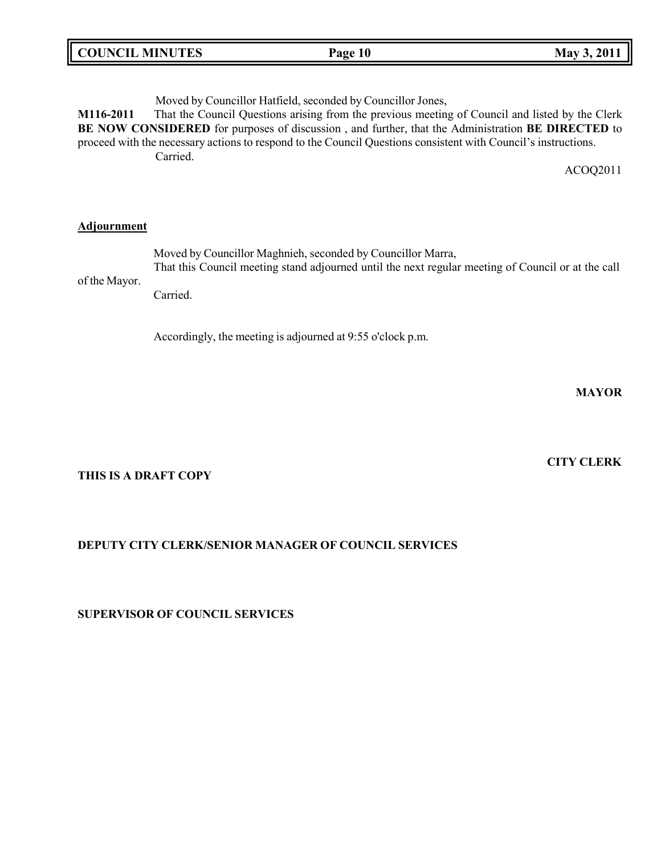| COUNCIL MINUTES | Page 10 | 2011<br>May |
|-----------------|---------|-------------|
|                 |         |             |

Moved by Councillor Hatfield, seconded by Councillor Jones,

**M116-2011** That the Council Questions arising from the previous meeting of Council and listed by the Clerk **BE NOW CONSIDERED** for purposes of discussion , and further, that the Administration **BE DIRECTED** to proceed with the necessary actions to respond to the Council Questions consistent with Council's instructions. Carried.

ACOQ2011

## **Adjournment**

|               | Moved by Councillor Maghnieh, seconded by Councillor Marra,                                        |
|---------------|----------------------------------------------------------------------------------------------------|
| of the Mayor. | That this Council meeting stand adjourned until the next regular meeting of Council or at the call |
|               | Carried.                                                                                           |

Accordingly, the meeting is adjourned at 9:55 o'clock p.m.

**MAYOR**

## **THIS IS A DRAFT COPY**

## **DEPUTY CITY CLERK/SENIOR MANAGER OF COUNCIL SERVICES**

## **SUPERVISOR OF COUNCIL SERVICES**

# **CITY CLERK**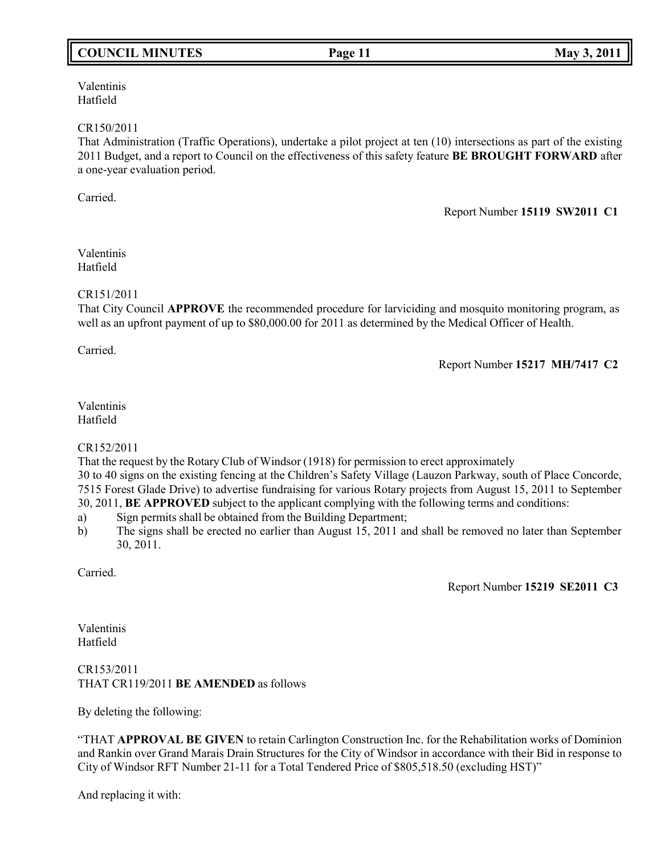# **COUNCIL MINUTES Page 11 May 3, 2011**

Valentinis Hatfield

### CR150/2011

That Administration (Traffic Operations), undertake a pilot project at ten (10) intersections as part of the existing 2011 Budget, and a report to Council on the effectiveness of this safety feature **BE BROUGHT FORWARD** after a one-year evaluation period.

Carried.

Report Number **15119 SW2011 C1**

Valentinis Hatfield

## CR151/2011

That City Council **APPROVE** the recommended procedure for larviciding and mosquito monitoring program, as well as an upfront payment of up to \$80,000.00 for 2011 as determined by the Medical Officer of Health.

Carried.

Report Number **15217 MH/7417 C2**

## Valentinis Hatfield

CR152/2011

That the request by the Rotary Club of Windsor (1918) for permission to erect approximately

30 to 40 signs on the existing fencing at the Children's Safety Village (Lauzon Parkway, south of Place Concorde, 7515 Forest Glade Drive) to advertise fundraising for various Rotary projects from August 15, 2011 to September 30, 2011, **BE APPROVED** subject to the applicant complying with the following terms and conditions:

- a) Sign permits shall be obtained from the Building Department;
- b) The signs shall be erected no earlier than August 15, 2011 and shall be removed no later than September 30, 2011.

Carried.

Report Number **15219 SE2011 C3**

Valentinis Hatfield

## CR153/2011 THAT CR119/2011 **BE AMENDED** as follows

By deleting the following:

"THAT **APPROVAL BE GIVEN** to retain Carlington Construction Inc. for the Rehabilitation works of Dominion and Rankin over Grand Marais Drain Structures for the City of Windsor in accordance with their Bid in response to City of Windsor RFT Number 21-11 for a Total Tendered Price of \$805,518.50 (excluding HST)"

And replacing it with: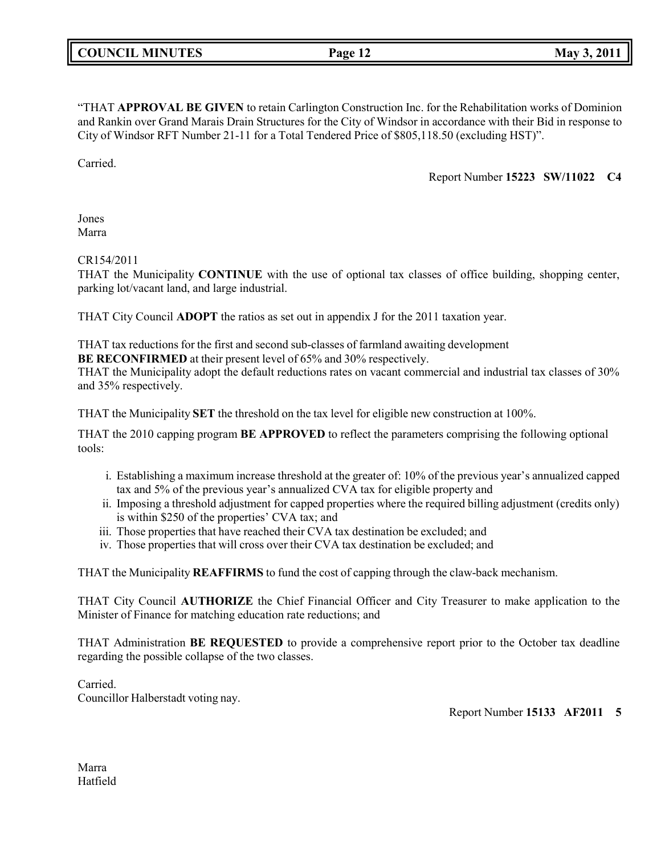"THAT **APPROVAL BE GIVEN** to retain Carlington Construction Inc. for the Rehabilitation works of Dominion and Rankin over Grand Marais Drain Structures for the City of Windsor in accordance with their Bid in response to City of Windsor RFT Number 21-11 for a Total Tendered Price of \$805,118.50 (excluding HST)".

Carried.

Report Number **15223 SW/11022 C4**

Jones Marra

CR154/2011

THAT the Municipality **CONTINUE** with the use of optional tax classes of office building, shopping center, parking lot/vacant land, and large industrial.

THAT City Council **ADOPT** the ratios as set out in appendix J for the 2011 taxation year.

THAT tax reductions for the first and second sub-classes of farmland awaiting development

**BE RECONFIRMED** at their present level of 65% and 30% respectively.

THAT the Municipality adopt the default reductions rates on vacant commercial and industrial tax classes of 30% and 35% respectively.

THAT the Municipality **SET** the threshold on the tax level for eligible new construction at 100%.

THAT the 2010 capping program **BE APPROVED** to reflect the parameters comprising the following optional tools:

- i. Establishing a maximum increase threshold at the greater of: 10% of the previous year's annualized capped tax and 5% of the previous year's annualized CVA tax for eligible property and
- ii. Imposing a threshold adjustment for capped properties where the required billing adjustment (credits only) is within \$250 of the properties' CVA tax; and
- iii. Those properties that have reached their CVA tax destination be excluded; and
- iv. Those properties that will cross over their CVA tax destination be excluded; and

THAT the Municipality **REAFFIRMS** to fund the cost of capping through the claw-back mechanism.

THAT City Council **AUTHORIZE** the Chief Financial Officer and City Treasurer to make application to the Minister of Finance for matching education rate reductions; and

THAT Administration **BE REQUESTED** to provide a comprehensive report prior to the October tax deadline regarding the possible collapse of the two classes.

Carried. Councillor Halberstadt voting nay.

Report Number **15133 AF2011 5**

Marra Hatfield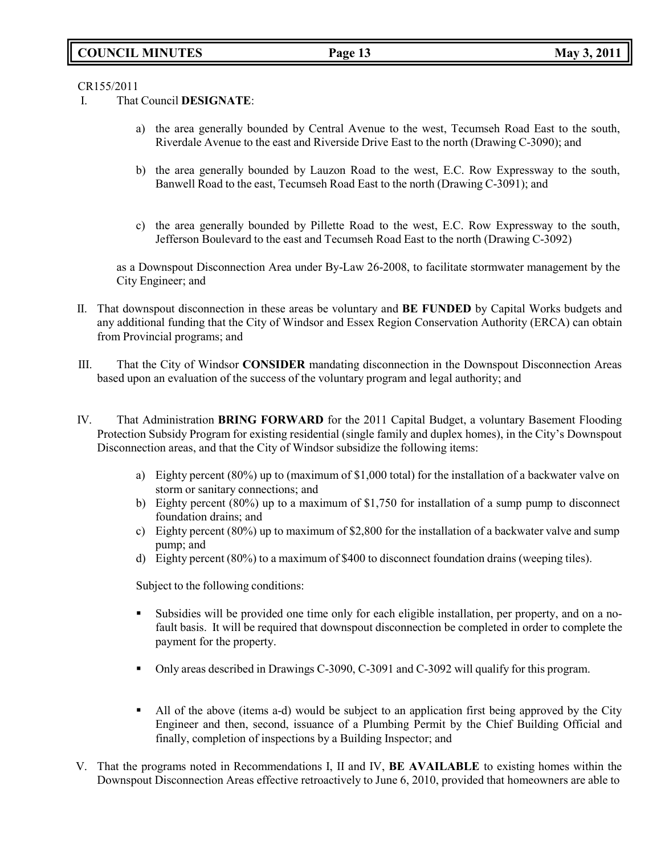# **COUNCIL MINUTES Page 13 May 3, 2011**

## CR155/2011

- I. That Council **DESIGNATE**:
	- a) the area generally bounded by Central Avenue to the west, Tecumseh Road East to the south, Riverdale Avenue to the east and Riverside Drive East to the north (Drawing C-3090); and
	- b) the area generally bounded by Lauzon Road to the west, E.C. Row Expressway to the south, Banwell Road to the east, Tecumseh Road East to the north (Drawing C-3091); and
	- c) the area generally bounded by Pillette Road to the west, E.C. Row Expressway to the south, Jefferson Boulevard to the east and Tecumseh Road East to the north (Drawing C-3092)

as a Downspout Disconnection Area under By-Law 26-2008, to facilitate stormwater management by the City Engineer; and

- II. That downspout disconnection in these areas be voluntary and **BE FUNDED** by Capital Works budgets and any additional funding that the City of Windsor and Essex Region Conservation Authority (ERCA) can obtain from Provincial programs; and
- III. That the City of Windsor **CONSIDER** mandating disconnection in the Downspout Disconnection Areas based upon an evaluation of the success of the voluntary program and legal authority; and
- IV. That Administration **BRING FORWARD** for the 2011 Capital Budget, a voluntary Basement Flooding Protection Subsidy Program for existing residential (single family and duplex homes), in the City's Downspout Disconnection areas, and that the City of Windsor subsidize the following items:
	- a) Eighty percent (80%) up to (maximum of \$1,000 total) for the installation of a backwater valve on storm or sanitary connections; and
	- b) Eighty percent (80%) up to a maximum of \$1,750 for installation of a sump pump to disconnect foundation drains; and
	- c) Eighty percent (80%) up to maximum of \$2,800 for the installation of a backwater valve and sump pump; and
	- d) Eighty percent (80%) to a maximum of \$400 to disconnect foundation drains (weeping tiles).

Subject to the following conditions:

- Subsidies will be provided one time only for each eligible installation, per property, and on a nofault basis. It will be required that downspout disconnection be completed in order to complete the payment for the property.
- Only areas described in Drawings C-3090, C-3091 and C-3092 will qualify for this program.
- All of the above (items a-d) would be subject to an application first being approved by the City Engineer and then, second, issuance of a Plumbing Permit by the Chief Building Official and finally, completion of inspections by a Building Inspector; and
- V. That the programs noted in Recommendations I, II and IV, **BE AVAILABLE** to existing homes within the Downspout Disconnection Areas effective retroactively to June 6, 2010, provided that homeowners are able to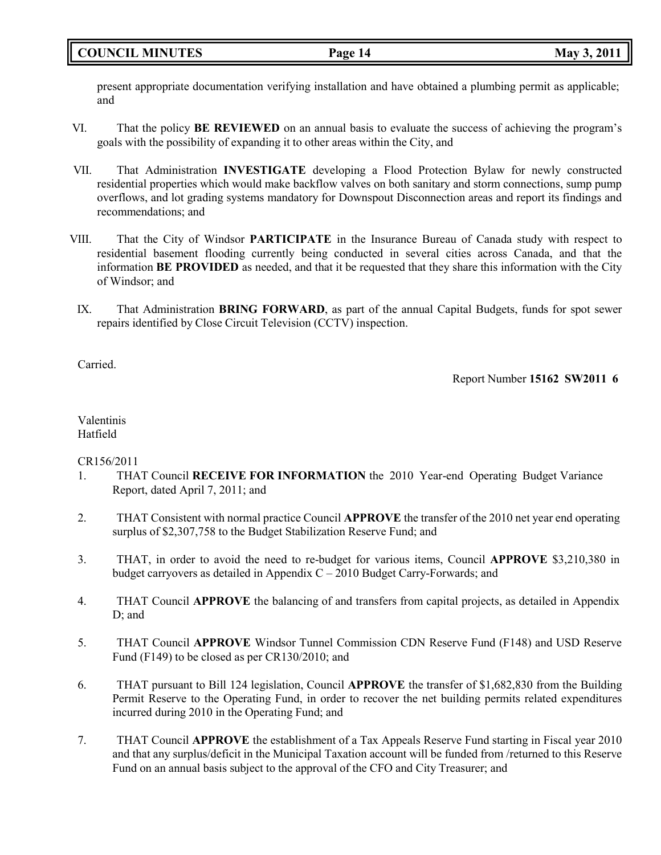present appropriate documentation verifying installation and have obtained a plumbing permit as applicable; and

- VI. That the policy **BE REVIEWED** on an annual basis to evaluate the success of achieving the program's goals with the possibility of expanding it to other areas within the City, and
- VII. That Administration **INVESTIGATE** developing a Flood Protection Bylaw for newly constructed residential properties which would make backflow valves on both sanitary and storm connections, sump pump overflows, and lot grading systems mandatory for Downspout Disconnection areas and report its findings and recommendations; and
- VIII. That the City of Windsor **PARTICIPATE** in the Insurance Bureau of Canada study with respect to residential basement flooding currently being conducted in several cities across Canada, and that the information **BE PROVIDED** as needed, and that it be requested that they share this information with the City of Windsor; and
	- IX. That Administration **BRING FORWARD**, as part of the annual Capital Budgets, funds for spot sewer repairs identified by Close Circuit Television (CCTV) inspection.

Carried.

Report Number **15162 SW2011 6**

Valentinis Hatfield

## CR156/2011

- 1. THAT Council **RECEIVE FOR INFORMATION** the 2010 Year-end Operating Budget Variance Report, dated April 7, 2011; and
- 2. THAT Consistent with normal practice Council **APPROVE** the transfer of the 2010 net year end operating surplus of \$2,307,758 to the Budget Stabilization Reserve Fund; and
- 3. THAT, in order to avoid the need to re-budget for various items, Council **APPROVE** \$3,210,380 in budget carryovers as detailed in Appendix  $C - 2010$  Budget Carry-Forwards; and
- 4. THAT Council **APPROVE** the balancing of and transfers from capital projects, as detailed in Appendix D; and
- 5. THAT Council **APPROVE** Windsor Tunnel Commission CDN Reserve Fund (F148) and USD Reserve Fund (F149) to be closed as per CR130/2010; and
- 6. THAT pursuant to Bill 124 legislation, Council **APPROVE** the transfer of \$1,682,830 from the Building Permit Reserve to the Operating Fund, in order to recover the net building permits related expenditures incurred during 2010 in the Operating Fund; and
- 7. THAT Council **APPROVE** the establishment of a Tax Appeals Reserve Fund starting in Fiscal year 2010 and that any surplus/deficit in the Municipal Taxation account will be funded from /returned to this Reserve Fund on an annual basis subject to the approval of the CFO and City Treasurer; and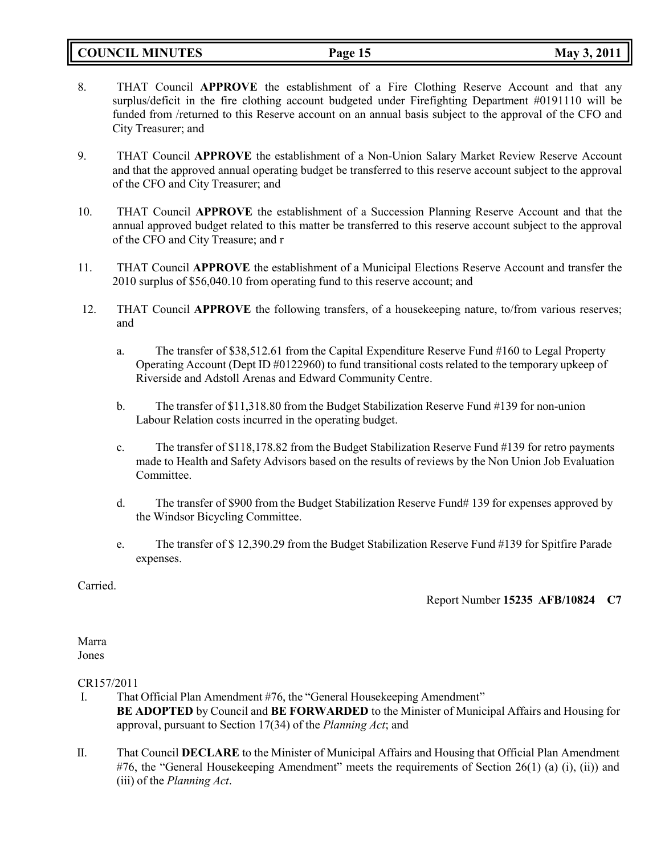**COUNCIL MINUTES Page 15 May 3, 2011**

- 8. THAT Council **APPROVE** the establishment of a Fire Clothing Reserve Account and that any surplus/deficit in the fire clothing account budgeted under Firefighting Department #0191110 will be funded from /returned to this Reserve account on an annual basis subject to the approval of the CFO and City Treasurer; and
- 9. THAT Council **APPROVE** the establishment of a Non-Union Salary Market Review Reserve Account and that the approved annual operating budget be transferred to this reserve account subject to the approval of the CFO and City Treasurer; and
- 10. THAT Council **APPROVE** the establishment of a Succession Planning Reserve Account and that the annual approved budget related to this matter be transferred to this reserve account subject to the approval of the CFO and City Treasure; and r
- 11. THAT Council **APPROVE** the establishment of a Municipal Elections Reserve Account and transfer the 2010 surplus of \$56,040.10 from operating fund to this reserve account; and
- 12. THAT Council **APPROVE** the following transfers, of a housekeeping nature, to/from various reserves; and
	- a. The transfer of \$38,512.61 from the Capital Expenditure Reserve Fund #160 to Legal Property Operating Account (Dept ID #0122960) to fund transitional costs related to the temporary upkeep of Riverside and Adstoll Arenas and Edward Community Centre.
	- b. The transfer of \$11,318.80 from the Budget Stabilization Reserve Fund #139 for non-union Labour Relation costs incurred in the operating budget.
	- c. The transfer of \$118,178.82 from the Budget Stabilization Reserve Fund #139 for retro payments made to Health and Safety Advisors based on the results of reviews by the Non Union Job Evaluation Committee.
	- d. The transfer of \$900 from the Budget Stabilization Reserve Fund# 139 for expenses approved by the Windsor Bicycling Committee.
	- e. The transfer of \$ 12,390.29 from the Budget Stabilization Reserve Fund #139 for Spitfire Parade expenses.

Carried.

Report Number **15235 AFB/10824 C7**

#### Marra Jones

## CR157/2011

- I. That Official Plan Amendment #76, the "General Housekeeping Amendment" **BE ADOPTED** by Council and **BE FORWARDED** to the Minister of Municipal Affairs and Housing for approval, pursuant to Section 17(34) of the *Planning Act*; and
- II. That Council **DECLARE** to the Minister of Municipal Affairs and Housing that Official Plan Amendment #76, the "General Housekeeping Amendment" meets the requirements of Section 26(1) (a) (i), (ii)) and (iii) of the *Planning Act*.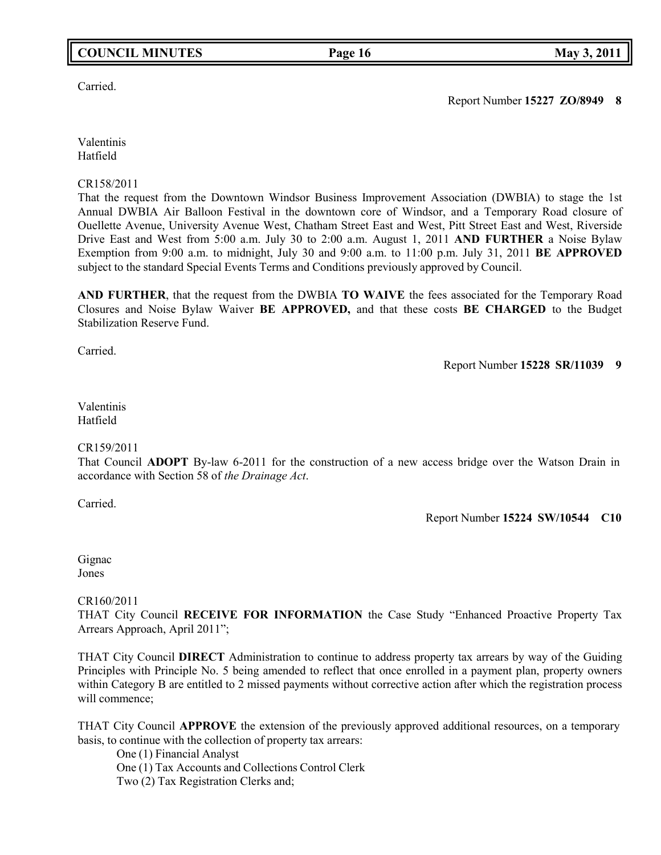## **COUNCIL MINUTES Page 16 May 3, 2011**

## Carried.

Valentinis Hatfield

CR158/2011

That the request from the Downtown Windsor Business Improvement Association (DWBIA) to stage the 1st Annual DWBIA Air Balloon Festival in the downtown core of Windsor, and a Temporary Road closure of Ouellette Avenue, University Avenue West, Chatham Street East and West, Pitt Street East and West, Riverside Drive East and West from 5:00 a.m. July 30 to 2:00 a.m. August 1, 2011 **AND FURTHER** a Noise Bylaw Exemption from 9:00 a.m. to midnight, July 30 and 9:00 a.m. to 11:00 p.m. July 31, 2011 **BE APPROVED** subject to the standard Special Events Terms and Conditions previously approved by Council.

**AND FURTHER**, that the request from the DWBIA **TO WAIVE** the fees associated for the Temporary Road Closures and Noise Bylaw Waiver **BE APPROVED,** and that these costs **BE CHARGED** to the Budget Stabilization Reserve Fund.

Carried.

Report Number **15228 SR/11039 9**

## Valentinis Hatfield

### CR159/2011

That Council **ADOPT** By-law 6-2011 for the construction of a new access bridge over the Watson Drain in accordance with Section 58 of *the Drainage Act*.

Carried.

Report Number **15224 SW/10544 C10**

Gignac Jones

## CR160/2011

THAT City Council **RECEIVE FOR INFORMATION** the Case Study "Enhanced Proactive Property Tax Arrears Approach, April 2011";

THAT City Council **DIRECT** Administration to continue to address property tax arrears by way of the Guiding Principles with Principle No. 5 being amended to reflect that once enrolled in a payment plan, property owners within Category B are entitled to 2 missed payments without corrective action after which the registration process will commence;

THAT City Council **APPROVE** the extension of the previously approved additional resources, on a temporary basis, to continue with the collection of property tax arrears:

One (1) Financial Analyst One (1) Tax Accounts and Collections Control Clerk Two (2) Tax Registration Clerks and;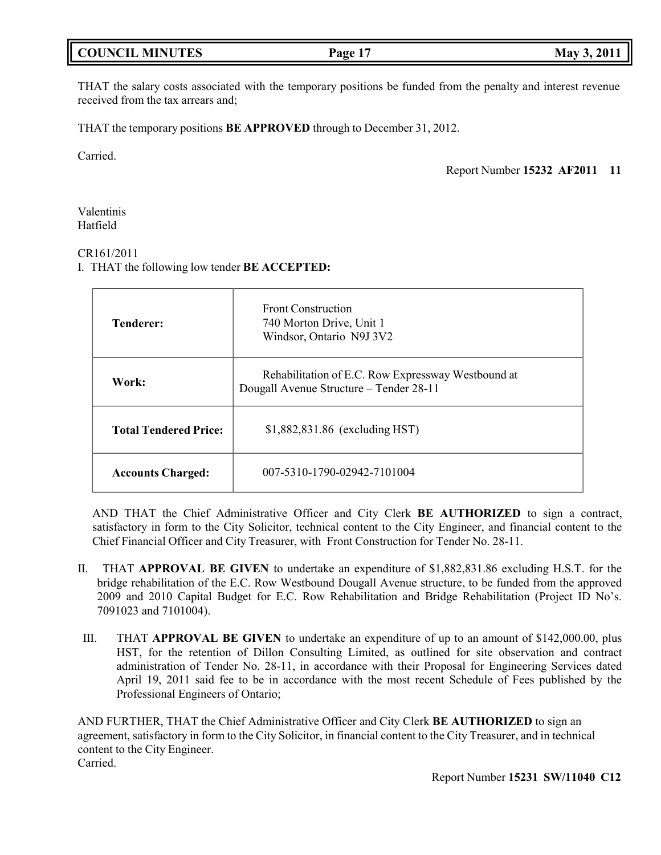# **COUNCIL MINUTES Page 17 May 3, 2011**

THAT the salary costs associated with the temporary positions be funded from the penalty and interest revenue received from the tax arrears and;

THAT the temporary positions **BE APPROVED** through to December 31, 2012.

Carried.

Report Number **15232 AF2011 11**

Valentinis Hatfield

## CR161/2011

I. THAT the following low tender **BE ACCEPTED:**

| <b>Tenderer:</b>             | <b>Front Construction</b><br>740 Morton Drive, Unit 1<br>Windsor, Ontario N9J 3V2             |
|------------------------------|-----------------------------------------------------------------------------------------------|
| Work:                        | Rehabilitation of E.C. Row Expressway Westbound at<br>Dougall Avenue Structure - Tender 28-11 |
| <b>Total Tendered Price:</b> | \$1,882,831.86 (excluding HST)                                                                |
| <b>Accounts Charged:</b>     | 007-5310-1790-02942-7101004                                                                   |

AND THAT the Chief Administrative Officer and City Clerk **BE AUTHORIZED** to sign a contract, satisfactory in form to the City Solicitor, technical content to the City Engineer, and financial content to the Chief Financial Officer and City Treasurer, with Front Construction for Tender No. 28-11.

- II. THAT **APPROVAL BE GIVEN** to undertake an expenditure of \$1,882,831.86 excluding H.S.T. for the bridge rehabilitation of the E.C. Row Westbound Dougall Avenue structure, to be funded from the approved 2009 and 2010 Capital Budget for E.C. Row Rehabilitation and Bridge Rehabilitation (Project ID No's. 7091023 and 7101004).
- III. THAT **APPROVAL BE GIVEN** to undertake an expenditure of up to an amount of \$142,000.00, plus HST, for the retention of Dillon Consulting Limited, as outlined for site observation and contract administration of Tender No. 28-11, in accordance with their Proposal for Engineering Services dated April 19, 2011 said fee to be in accordance with the most recent Schedule of Fees published by the Professional Engineers of Ontario;

AND FURTHER, THAT the Chief Administrative Officer and City Clerk **BE AUTHORIZED** to sign an agreement, satisfactory in form to the City Solicitor, in financial content to the City Treasurer, and in technical content to the City Engineer. Carried.

Report Number **15231 SW/11040 C12**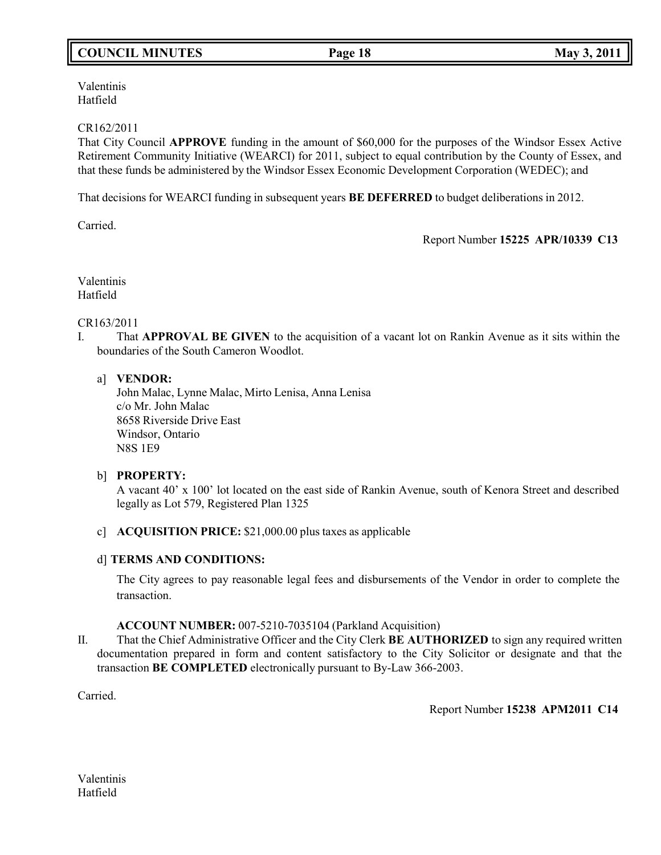# **COUNCIL MINUTES Page 18 May 3, 2011**

Valentinis Hatfield

## CR162/2011

That City Council **APPROVE** funding in the amount of \$60,000 for the purposes of the Windsor Essex Active Retirement Community Initiative (WEARCI) for 2011, subject to equal contribution by the County of Essex, and that these funds be administered by the Windsor Essex Economic Development Corporation (WEDEC); and

That decisions for WEARCI funding in subsequent years **BE DEFERRED** to budget deliberations in 2012.

Carried.

Report Number **15225 APR/10339 C13**

Valentinis Hatfield

## CR163/2011

I. That **APPROVAL BE GIVEN** to the acquisition of a vacant lot on Rankin Avenue as it sits within the boundaries of the South Cameron Woodlot.

## a] **VENDOR:**

John Malac, Lynne Malac, Mirto Lenisa, Anna Lenisa c/o Mr. John Malac 8658 Riverside Drive East Windsor, Ontario N8S 1E9

## b] **PROPERTY:**

A vacant 40' x 100' lot located on the east side of Rankin Avenue, south of Kenora Street and described legally as Lot 579, Registered Plan 1325

c] **ACQUISITION PRICE:** \$21,000.00 plus taxes as applicable

## d] **TERMS AND CONDITIONS:**

The City agrees to pay reasonable legal fees and disbursements of the Vendor in order to complete the transaction.

### **ACCOUNT NUMBER:** 007-5210-7035104 (Parkland Acquisition)

II. That the Chief Administrative Officer and the City Clerk **BE AUTHORIZED** to sign any required written documentation prepared in form and content satisfactory to the City Solicitor or designate and that the transaction **BE COMPLETED** electronically pursuant to By-Law 366-2003.

Carried.

Report Number **15238 APM2011 C14**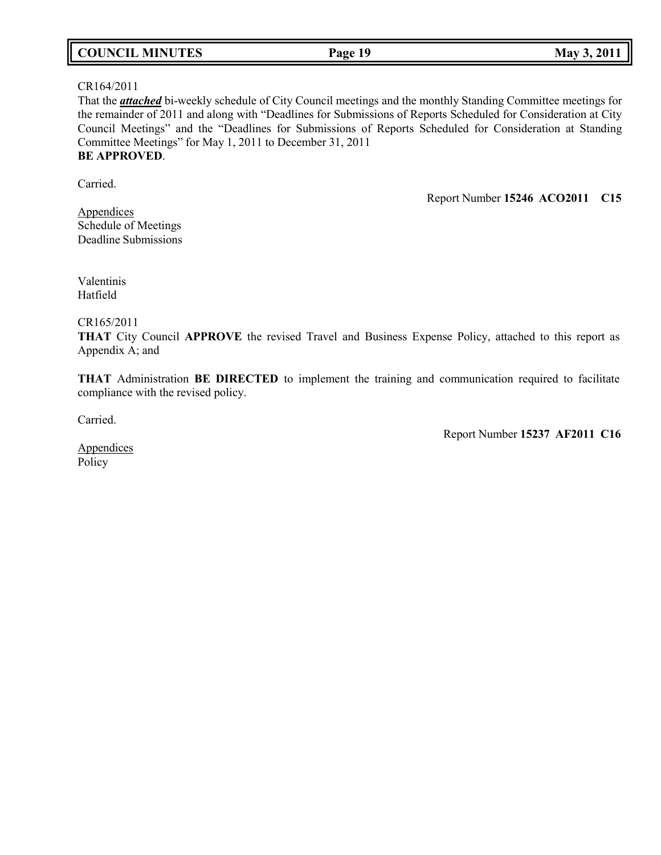| <b>COUNCIL MINUTES</b><br>Page 19 | May 3, 2011 |
|-----------------------------------|-------------|
|-----------------------------------|-------------|

## CR164/2011

That the *attached* bi-weekly schedule of City Council meetings and the monthly Standing Committee meetings for the remainder of 2011 and along with "Deadlines for Submissions of Reports Scheduled for Consideration at City Council Meetings" and the "Deadlines for Submissions of Reports Scheduled for Consideration at Standing Committee Meetings" for May 1, 2011 to December 31, 2011 **BE APPROVED**.

Carried.

Report Number **15246 ACO2011 C15**

**Appendices** Schedule of Meetings Deadline Submissions

Valentinis Hatfield

CR165/2011

**THAT** City Council **APPROVE** the revised Travel and Business Expense Policy, attached to this report as Appendix A; and

**THAT** Administration **BE DIRECTED** to implement the training and communication required to facilitate compliance with the revised policy.

Carried.

Report Number **15237 AF2011 C16**

**Appendices** Policy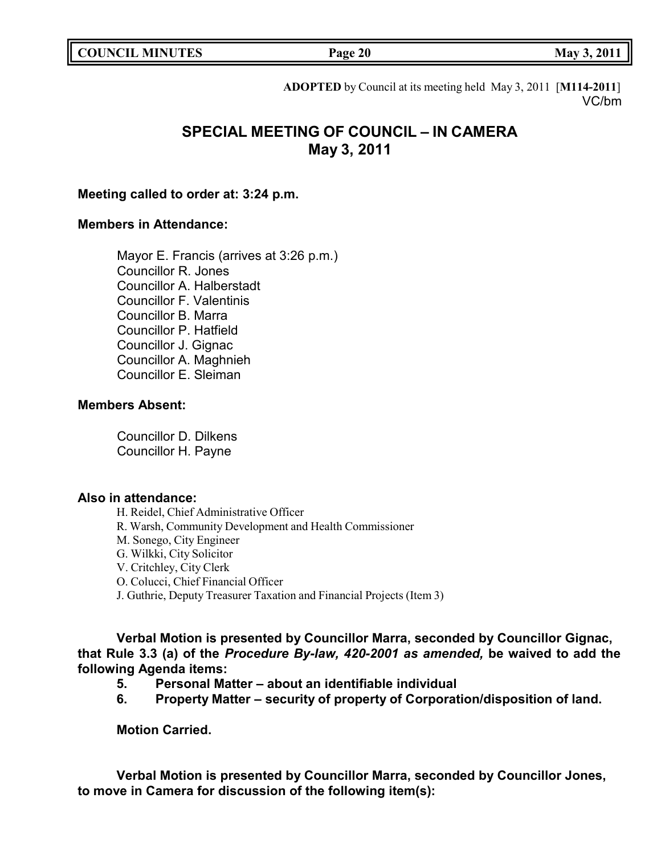| <b>COUNCIL MINUTES</b> |  |
|------------------------|--|
|------------------------|--|

**COUNCIL EXECUTE: COUNCIL EXECUTE: Page 20 May** 3, 2011

**ADOPTED** by Council at its meeting held May 3, 2011 [**M114-2011**] VC/bm

# **SPECIAL MEETING OF COUNCIL – IN CAMERA May 3, 2011**

## **Meeting called to order at: 3:24 p.m.**

# **Members in Attendance:**

Mayor E. Francis (arrives at 3:26 p.m.) Councillor R. Jones Councillor A. Halberstadt Councillor F. Valentinis Councillor B. Marra Councillor P. Hatfield Councillor J. Gignac Councillor A. Maghnieh Councillor E. Sleiman

## **Members Absent:**

Councillor D. Dilkens Councillor H. Payne

## **Also in attendance:**

H. Reidel, Chief Administrative Officer R. Warsh, Community Development and Health Commissioner M. Sonego, City Engineer G. Wilkki, City Solicitor V. Critchley, City Clerk O. Colucci, Chief Financial Officer J. Guthrie, Deputy Treasurer Taxation and Financial Projects (Item 3)

**Verbal Motion is presented by Councillor Marra, seconded by Councillor Gignac, that Rule 3.3 (a) of the** *Procedure By-law, 420-2001 as amended,* **be waived to add the following Agenda items:**

- **5. Personal Matter – about an identifiable individual**
- **6. Property Matter – security of property of Corporation/disposition of land.**

**Motion Carried.**

**Verbal Motion is presented by Councillor Marra, seconded by Councillor Jones, to move in Camera for discussion of the following item(s):**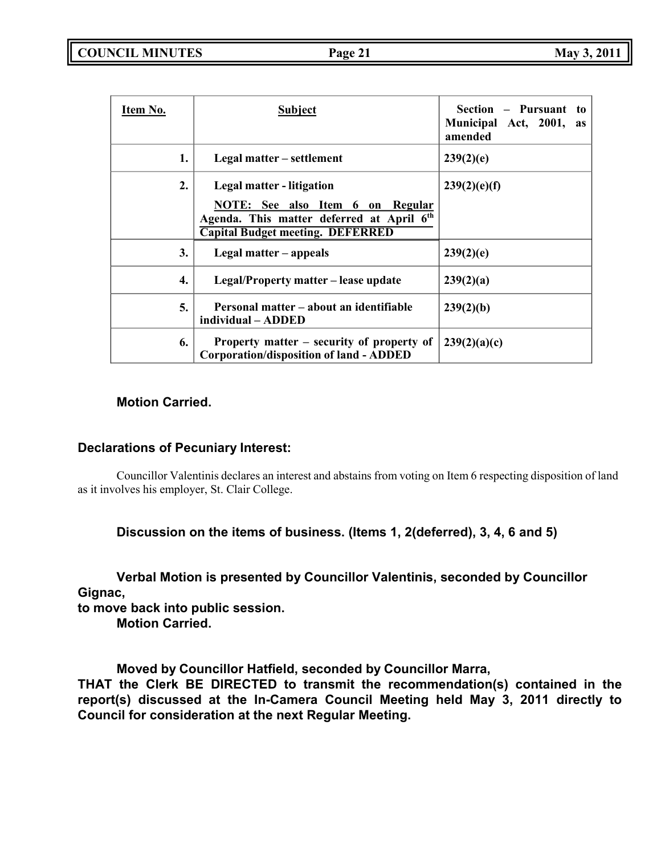| Item No. | Subject                                                                                                                                                                 | Section – Pursuant<br>to<br>Municipal Act, 2001, as<br>amended |
|----------|-------------------------------------------------------------------------------------------------------------------------------------------------------------------------|----------------------------------------------------------------|
| 1.       | Legal matter – settlement                                                                                                                                               | 239(2)(e)                                                      |
| 2.       | Legal matter - litigation<br>NOTE: See also Item 6<br>Regular<br>on<br>Agenda. This matter deferred at April 6 <sup>th</sup><br><b>Capital Budget meeting. DEFERRED</b> | 239(2)(e)(f)                                                   |
| 3.       | Legal matter – appeals                                                                                                                                                  | 239(2)(e)                                                      |
| 4.       | Legal/Property matter – lease update                                                                                                                                    | 239(2)(a)                                                      |
| 5.       | Personal matter – about an identifiable<br>individual – ADDED                                                                                                           | 239(2)(b)                                                      |
| 6.       | Property matter – security of property of<br><b>Corporation/disposition of land - ADDED</b>                                                                             | 239(2)(a)(c)                                                   |

## **Motion Carried.**

## **Declarations of Pecuniary Interest:**

Councillor Valentinis declares an interest and abstains from voting on Item 6 respecting disposition of land as it involves his employer, St. Clair College.

## **Discussion on the items of business. (Items 1, 2(deferred), 3, 4, 6 and 5)**

**Verbal Motion is presented by Councillor Valentinis, seconded by Councillor Gignac, to move back into public session.**

**Motion Carried.**

**Moved by Councillor Hatfield, seconded by Councillor Marra,**

**THAT the Clerk BE DIRECTED to transmit the recommendation(s) contained in the report(s) discussed at the In-Camera Council Meeting held May 3, 2011 directly to Council for consideration at the next Regular Meeting.**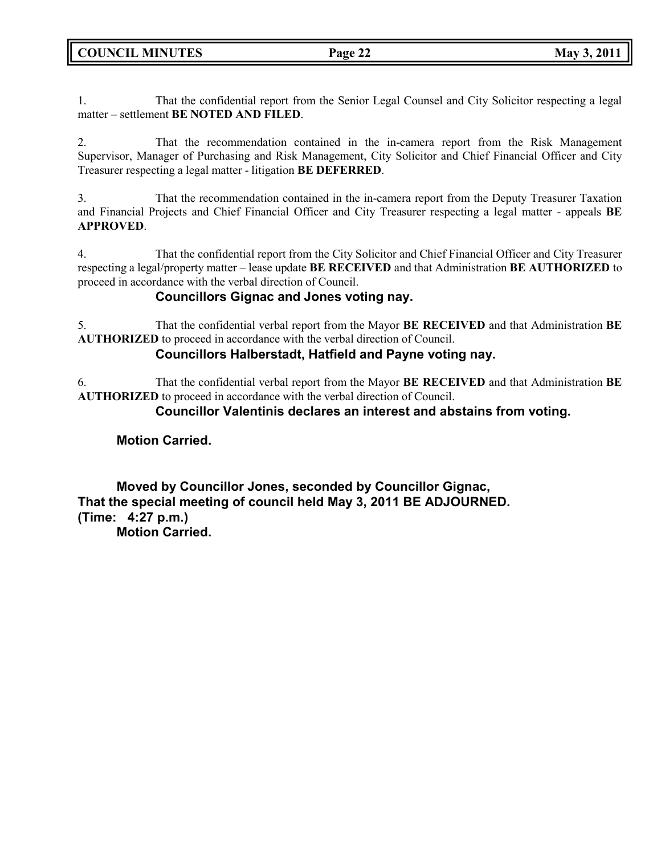1. That the confidential report from the Senior Legal Counsel and City Solicitor respecting a legal matter – settlement **BE NOTED AND FILED**.

2. That the recommendation contained in the in-camera report from the Risk Management Supervisor, Manager of Purchasing and Risk Management, City Solicitor and Chief Financial Officer and City Treasurer respecting a legal matter - litigation **BE DEFERRED**.

3. That the recommendation contained in the in-camera report from the Deputy Treasurer Taxation and Financial Projects and Chief Financial Officer and City Treasurer respecting a legal matter - appeals **BE APPROVED**.

4. That the confidential report from the City Solicitor and Chief Financial Officer and City Treasurer respecting a legal/property matter – lease update **BE RECEIVED** and that Administration **BE AUTHORIZED** to proceed in accordance with the verbal direction of Council.

# **Councillors Gignac and Jones voting nay.**

5. That the confidential verbal report from the Mayor **BE RECEIVED** and that Administration **BE AUTHORIZED** to proceed in accordance with the verbal direction of Council.

# **Councillors Halberstadt, Hatfield and Payne voting nay.**

6. That the confidential verbal report from the Mayor **BE RECEIVED** and that Administration **BE AUTHORIZED** to proceed in accordance with the verbal direction of Council.

# **Councillor Valentinis declares an interest and abstains from voting.**

# **Motion Carried.**

**Moved by Councillor Jones, seconded by Councillor Gignac, That the special meeting of council held May 3, 2011 BE ADJOURNED. (Time: 4:27 p.m.) Motion Carried.**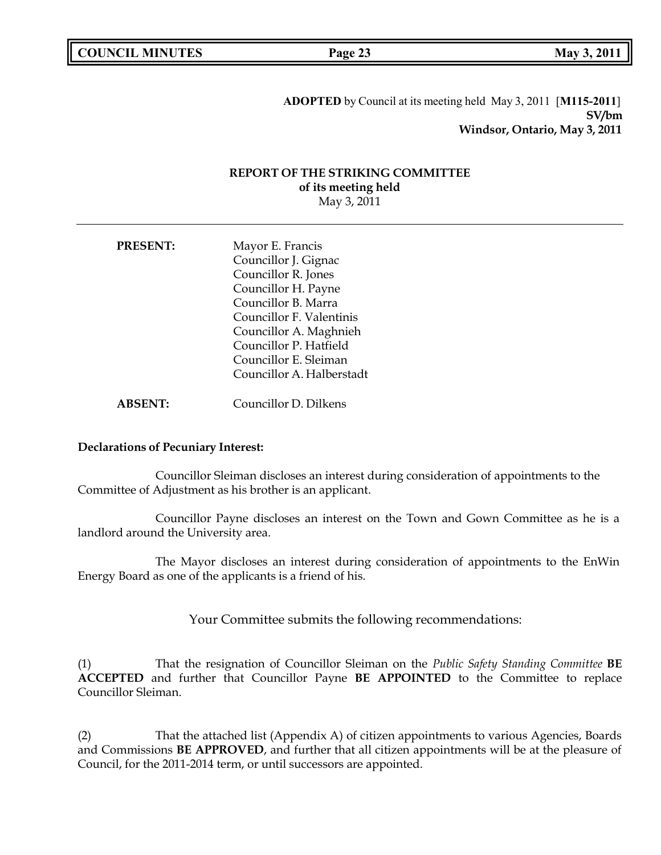| <b>COUNCIL MINUTES</b> |  |
|------------------------|--|
|------------------------|--|

**COUNCIL EXECUTE: Page 23 May** 3, 2011

**ADOPTED** by Council at its meeting held May 3, 2011 [**M115-2011**] **SV/bm Windsor, Ontario, May 3, 2011**

## **REPORT OF THE STRIKING COMMITTEE of its meeting held** May 3, 2011

| <b>PRESENT:</b> | Mayor E. Francis<br>Councillor J. Gignac |  |
|-----------------|------------------------------------------|--|
|                 |                                          |  |
|                 | Councillor R. Jones                      |  |
|                 | Councillor H. Payne                      |  |
|                 | Councillor B. Marra                      |  |
|                 | Councillor F. Valentinis                 |  |
|                 | Councillor A. Maghnieh                   |  |
|                 | Councillor P. Hatfield                   |  |
|                 | Councillor E. Sleiman                    |  |
|                 | Councillor A. Halberstadt                |  |
|                 |                                          |  |

**ABSENT:** Councillor D. Dilkens

### **Declarations of Pecuniary Interest:**

Councillor Sleiman discloses an interest during consideration of appointments to the Committee of Adjustment as his brother is an applicant.

Councillor Payne discloses an interest on the Town and Gown Committee as he is a landlord around the University area.

The Mayor discloses an interest during consideration of appointments to the EnWin Energy Board as one of the applicants is a friend of his.

Your Committee submits the following recommendations:

(1) That the resignation of Councillor Sleiman on the *Public Safety Standing Committee* **BE ACCEPTED** and further that Councillor Payne **BE APPOINTED** to the Committee to replace Councillor Sleiman.

(2) That the attached list (Appendix A) of citizen appointments to various Agencies, Boards and Commissions **BE APPROVED**, and further that all citizen appointments will be at the pleasure of Council, for the 2011-2014 term, or until successors are appointed.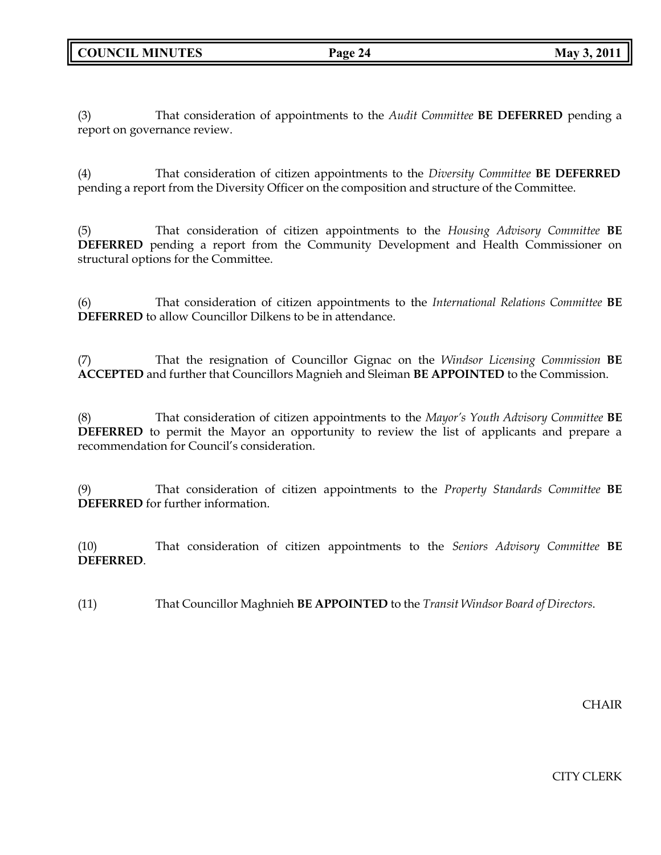(3) That consideration of appointments to the *Audit Committee* **BE DEFERRED** pending a report on governance review.

(4) That consideration of citizen appointments to the *Diversity Committee* **BE DEFERRED** pending a report from the Diversity Officer on the composition and structure of the Committee.

(5) That consideration of citizen appointments to the *Housing Advisory Committee* **BE DEFERRED** pending a report from the Community Development and Health Commissioner on structural options for the Committee.

(6) That consideration of citizen appointments to the *International Relations Committee* **BE DEFERRED** to allow Councillor Dilkens to be in attendance.

(7) That the resignation of Councillor Gignac on the *Windsor Licensing Commission* **BE ACCEPTED** and further that Councillors Magnieh and Sleiman **BE APPOINTED** to the Commission.

(8) That consideration of citizen appointments to the *Mayor's Youth Advisory Committee* **BE DEFERRED** to permit the Mayor an opportunity to review the list of applicants and prepare a recommendation for Council's consideration.

(9) That consideration of citizen appointments to the *Property Standards Committee* **BE DEFERRED** for further information.

(10) That consideration of citizen appointments to the *Seniors Advisory Committee* **BE DEFERRED**.

(11) That Councillor Maghnieh **BE APPOINTED** to the *Transit Windsor Board of Directors*.

**CHAIR** 

CITY CLERK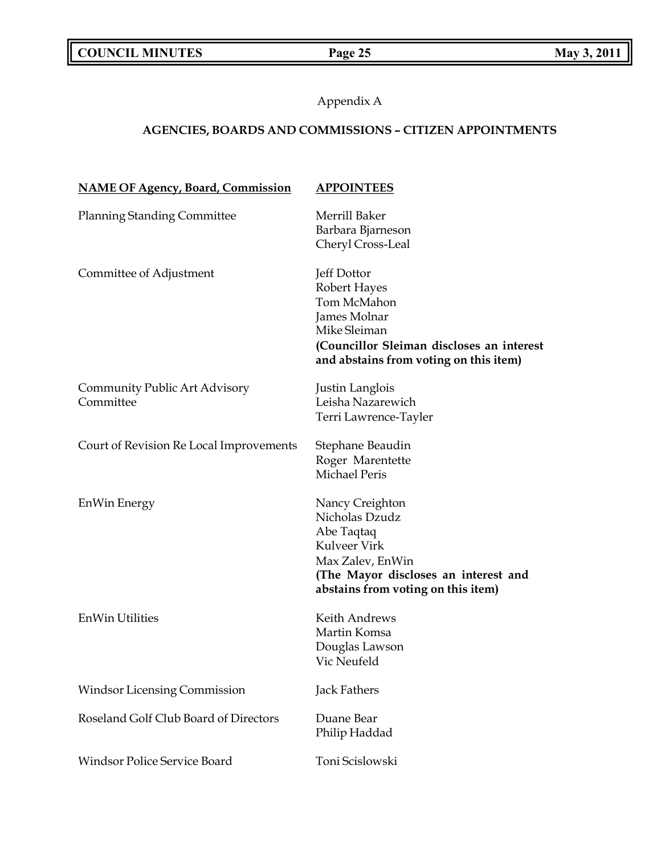Appendix A

# **AGENCIES, BOARDS AND COMMISSIONS** *–* **CITIZEN APPOINTMENTS**

| <b>NAME OF Agency, Board, Commission</b>   | <b>APPOINTEES</b>                                                                                                                                                 |
|--------------------------------------------|-------------------------------------------------------------------------------------------------------------------------------------------------------------------|
| <b>Planning Standing Committee</b>         | Merrill Baker<br>Barbara Bjarneson<br>Cheryl Cross-Leal                                                                                                           |
| Committee of Adjustment                    | Jeff Dottor<br>Robert Hayes<br>Tom McMahon<br>James Molnar<br>Mike Sleiman<br>(Councillor Sleiman discloses an interest<br>and abstains from voting on this item) |
| Community Public Art Advisory<br>Committee | Justin Langlois<br>Leisha Nazarewich<br>Terri Lawrence-Tayler                                                                                                     |
| Court of Revision Re Local Improvements    | Stephane Beaudin<br>Roger Marentette<br><b>Michael Peris</b>                                                                                                      |
| <b>EnWin Energy</b>                        | Nancy Creighton<br>Nicholas Dzudz<br>Abe Taqtaq<br>Kulveer Virk<br>Max Zalev, EnWin<br>(The Mayor discloses an interest and<br>abstains from voting on this item) |
| <b>EnWin Utilities</b>                     | Keith Andrews<br>Martin Komsa<br>Douglas Lawson<br>Vic Neufeld                                                                                                    |
| <b>Windsor Licensing Commission</b>        | <b>Jack Fathers</b>                                                                                                                                               |
| Roseland Golf Club Board of Directors      | Duane Bear<br>Philip Haddad                                                                                                                                       |
| <b>Windsor Police Service Board</b>        | Toni Scislowski                                                                                                                                                   |